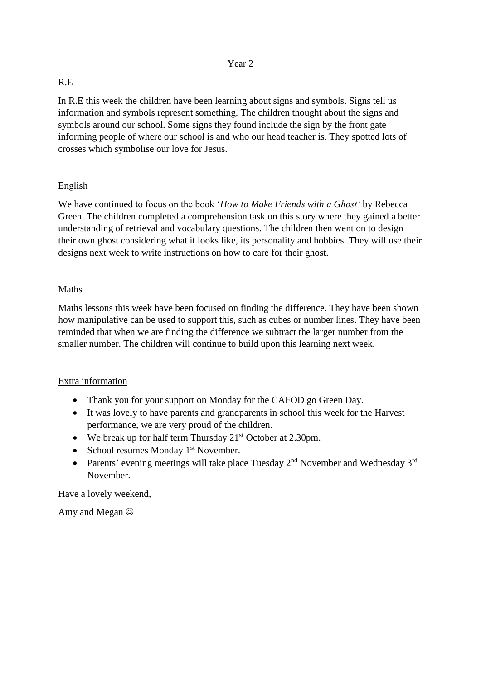## R.E

In R.E this week the children have been learning about signs and symbols. Signs tell us information and symbols represent something. The children thought about the signs and symbols around our school. Some signs they found include the sign by the front gate informing people of where our school is and who our head teacher is. They spotted lots of crosses which symbolise our love for Jesus.

## English

We have continued to focus on the book '*How to Make Friends with a Ghost'* by Rebecca Green. The children completed a comprehension task on this story where they gained a better understanding of retrieval and vocabulary questions. The children then went on to design their own ghost considering what it looks like, its personality and hobbies. They will use their designs next week to write instructions on how to care for their ghost.

## Maths

Maths lessons this week have been focused on finding the difference. They have been shown how manipulative can be used to support this, such as cubes or number lines. They have been reminded that when we are finding the difference we subtract the larger number from the smaller number. The children will continue to build upon this learning next week.

## Extra information

- Thank you for your support on Monday for the CAFOD go Green Day.
- It was lovely to have parents and grandparents in school this week for the Harvest performance, we are very proud of the children.
- We break up for half term Thursday  $21<sup>st</sup>$  October at 2.30pm.
- School resumes Monday  $1<sup>st</sup>$  November.
- Parents' evening meetings will take place Tuesday  $2<sup>nd</sup>$  November and Wednesday  $3<sup>rd</sup>$ November.

Have a lovely weekend,

Amy and Megan  $\odot$